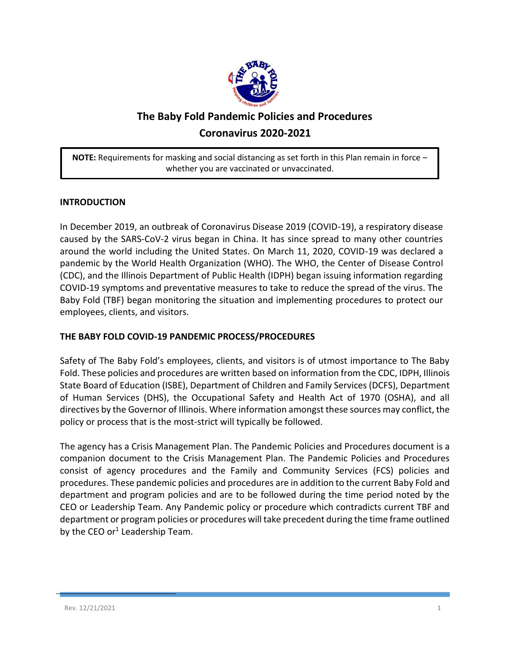

# **The Baby Fold Pandemic Policies and Procedures Coronavirus 2020-2021**

**NOTE:** Requirements for masking and social distancing as set forth in this Plan remain in force – whether you are vaccinated or unvaccinated.

## **INTRODUCTION**

In December 2019, an outbreak of Coronavirus Disease 2019 (COVID-19), a respiratory disease caused by the SARS-CoV-2 virus began in China. It has since spread to many other countries around the world including the United States. On March 11, 2020, COVID-19 was declared a pandemic by the World Health Organization (WHO). The WHO, the Center of Disease Control (CDC), and the Illinois Department of Public Health (IDPH) began issuing information regarding COVID-19 symptoms and preventative measures to take to reduce the spread of the virus. The Baby Fold (TBF) began monitoring the situation and implementing procedures to protect our employees, clients, and visitors.

#### **THE BABY FOLD COVID-19 PANDEMIC PROCESS/PROCEDURES**

Safety of The Baby Fold's employees, clients, and visitors is of utmost importance to The Baby Fold. These policies and procedures are written based on information from the CDC, IDPH, Illinois State Board of Education (ISBE), Department of Children and Family Services (DCFS), Department of Human Services (DHS), the Occupational Safety and Health Act of 1970 (OSHA), and all directives by the Governor of Illinois. Where information amongst these sources may conflict, the policy or process that is the most-strict will typically be followed.

The agency has a Crisis Management Plan. The Pandemic Policies and Procedures document is a companion document to the Crisis Management Plan. The Pandemic Policies and Procedures consist of agency procedures and the Family and Community Services (FCS) policies and procedures. These pandemic policies and procedures are in addition to the current Baby Fold and department and program policies and are to be followed during the time period noted by the CEO or Leadership Team. Any Pandemic policy or procedure which contradicts current TBF and department or program policies or procedures will take precedent during the time frame outlined by the CEO or<sup>1</sup> Leadership Team.

 $\overline{a}$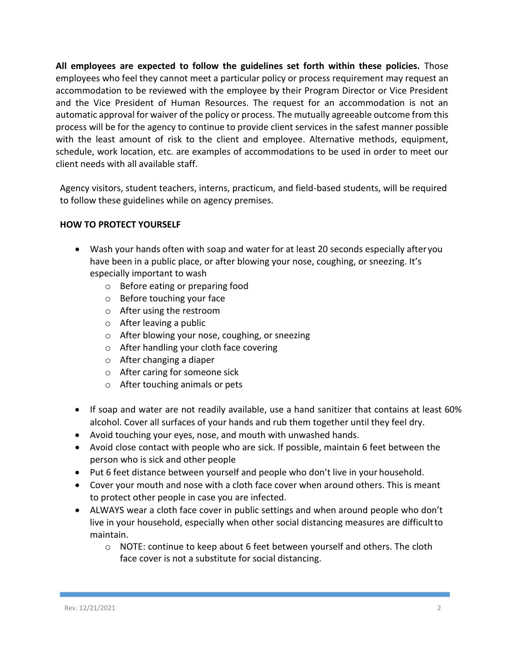**All employees are expected to follow the guidelines set forth within these policies.** Those employees who feel they cannot meet a particular policy or process requirement may request an accommodation to be reviewed with the employee by their Program Director or Vice President and the Vice President of Human Resources. The request for an accommodation is not an automatic approval for waiver of the policy or process. The mutually agreeable outcome from this process will be for the agency to continue to provide client services in the safest manner possible with the least amount of risk to the client and employee. Alternative methods, equipment, schedule, work location, etc. are examples of accommodations to be used in order to meet our client needs with all available staff.

Agency visitors, student teachers, interns, practicum, and field-based students, will be required to follow these guidelines while on agency premises.

## **HOW TO PROTECT YOURSELF**

- Wash your hands often with soap and water for at least 20 seconds especially after you have been in a public place, or after blowing your nose, coughing, or sneezing. It's especially important to wash
	- o Before eating or preparing food
	- o Before touching your face
	- o After using the restroom
	- o After leaving a public
	- o After blowing your nose, coughing, or sneezing
	- o After handling your cloth face covering
	- o After changing a diaper
	- o After caring for someone sick
	- o After touching animals or pets
- If soap and water are not readily available, use a hand sanitizer that contains at least 60% alcohol. Cover all surfaces of your hands and rub them together until they feel dry.
- Avoid touching your eyes, nose, and mouth with unwashed hands.
- Avoid close contact with people who are sick. If possible, maintain 6 feet between the person who is sick and other people
- Put 6 feet distance between yourself and people who don't live in your household.
- Cover your mouth and nose with a cloth face cover when around others. This is meant to protect other people in case you are infected.
- ALWAYS wear a cloth face cover in public settings and when around people who don't live in your household, especially when other social distancing measures are difficultto maintain.
	- $\circ$  NOTE: continue to keep about 6 feet between yourself and others. The cloth face cover is not a substitute for social distancing.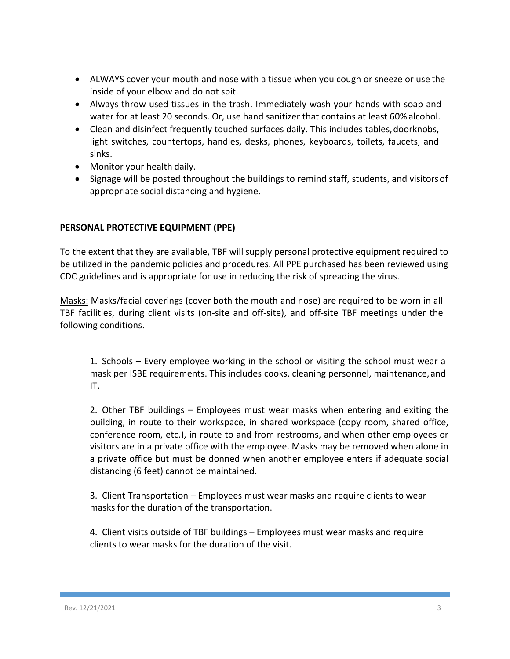- ALWAYS cover your mouth and nose with a tissue when you cough or sneeze or use the inside of your elbow and do not spit.
- Always throw used tissues in the trash. Immediately wash your hands with soap and water for at least 20 seconds. Or, use hand sanitizer that contains at least 60% alcohol.
- Clean and disinfect frequently touched surfaces daily. This includes tables, doorknobs, light switches, countertops, handles, desks, phones, keyboards, toilets, faucets, and sinks.
- Monitor your health daily.
- Signage will be posted throughout the buildings to remind staff, students, and visitorsof appropriate social distancing and hygiene.

## **PERSONAL PROTECTIVE EQUIPMENT (PPE)**

To the extent that they are available, TBF will supply personal protective equipment required to be utilized in the pandemic policies and procedures. All PPE purchased has been reviewed using CDC guidelines and is appropriate for use in reducing the risk of spreading the virus.

Masks: Masks/facial coverings (cover both the mouth and nose) are required to be worn in all TBF facilities, during client visits (on-site and off-site), and off-site TBF meetings under the following conditions.

1. Schools – Every employee working in the school or visiting the school must wear a mask per ISBE requirements. This includes cooks, cleaning personnel, maintenance,and IT.

2. Other TBF buildings – Employees must wear masks when entering and exiting the building, in route to their workspace, in shared workspace (copy room, shared office, conference room, etc.), in route to and from restrooms, and when other employees or visitors are in a private office with the employee. Masks may be removed when alone in a private office but must be donned when another employee enters if adequate social distancing (6 feet) cannot be maintained.

3. Client Transportation – Employees must wear masks and require clients to wear masks for the duration of the transportation.

4. Client visits outside of TBF buildings – Employees must wear masks and require clients to wear masks for the duration of the visit.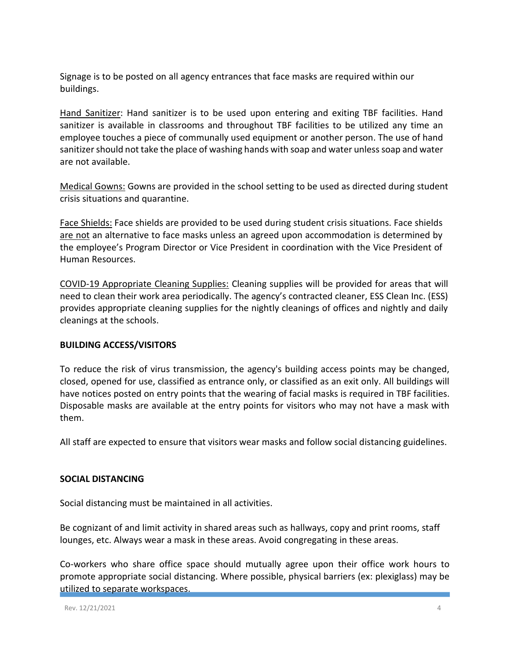Signage is to be posted on all agency entrances that face masks are required within our buildings.

Hand Sanitizer: Hand sanitizer is to be used upon entering and exiting TBF facilities. Hand sanitizer is available in classrooms and throughout TBF facilities to be utilized any time an employee touches a piece of communally used equipment or another person. The use of hand sanitizer should not take the place of washing hands with soap and water unless soap and water are not available.

Medical Gowns: Gowns are provided in the school setting to be used as directed during student crisis situations and quarantine.

Face Shields: Face shields are provided to be used during student crisis situations. Face shields are not an alternative to face masks unless an agreed upon accommodation is determined by the employee's Program Director or Vice President in coordination with the Vice President of Human Resources.

COVID-19 Appropriate Cleaning Supplies: Cleaning supplies will be provided for areas that will need to clean their work area periodically. The agency's contracted cleaner, ESS Clean Inc. (ESS) provides appropriate cleaning supplies for the nightly cleanings of offices and nightly and daily cleanings at the schools.

## **BUILDING ACCESS/VISITORS**

To reduce the risk of virus transmission, the agency's building access points may be changed, closed, opened for use, classified as entrance only, or classified as an exit only. All buildings will have notices posted on entry points that the wearing of facial masks is required in TBF facilities. Disposable masks are available at the entry points for visitors who may not have a mask with them.

All staff are expected to ensure that visitors wear masks and follow social distancing guidelines.

## **SOCIAL DISTANCING**

Social distancing must be maintained in all activities.

Be cognizant of and limit activity in shared areas such as hallways, copy and print rooms, staff lounges, etc. Always wear a mask in these areas. Avoid congregating in these areas.

Co-workers who share office space should mutually agree upon their office work hours to promote appropriate social distancing. Where possible, physical barriers (ex: plexiglass) may be utilized to separate workspaces.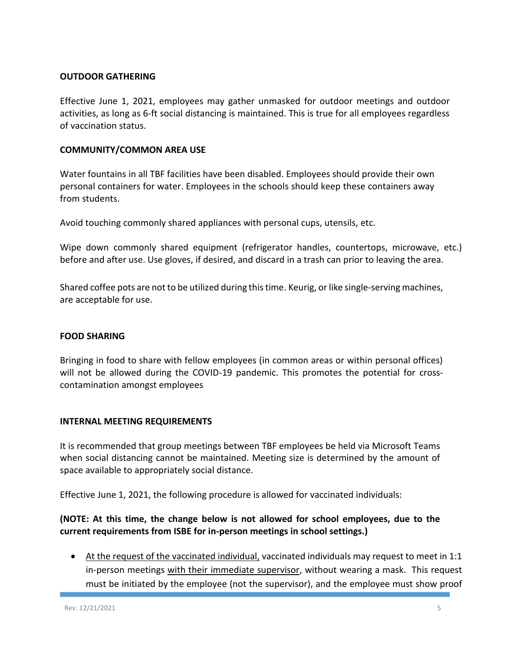#### **OUTDOOR GATHERING**

Effective June 1, 2021, employees may gather unmasked for outdoor meetings and outdoor activities, as long as 6-ft social distancing is maintained. This is true for all employees regardless of vaccination status.

#### **COMMUNITY/COMMON AREA USE**

Water fountains in all TBF facilities have been disabled. Employees should provide their own personal containers for water. Employees in the schools should keep these containers away from students.

Avoid touching commonly shared appliances with personal cups, utensils, etc.

Wipe down commonly shared equipment (refrigerator handles, countertops, microwave, etc.) before and after use. Use gloves, if desired, and discard in a trash can prior to leaving the area.

Shared coffee pots are not to be utilized during this time. Keurig, or like single-serving machines, are acceptable for use.

#### **FOOD SHARING**

Bringing in food to share with fellow employees (in common areas or within personal offices) will not be allowed during the COVID-19 pandemic. This promotes the potential for crosscontamination amongst employees

#### **INTERNAL MEETING REQUIREMENTS**

It is recommended that group meetings between TBF employees be held via Microsoft Teams when social distancing cannot be maintained. Meeting size is determined by the amount of space available to appropriately social distance.

Effective June 1, 2021, the following procedure is allowed for vaccinated individuals:

## **(NOTE: At this time, the change below is not allowed for school employees, due to the current requirements from ISBE for in-person meetings in school settings.)**

 At the request of the vaccinated individual, vaccinated individuals may request to meet in 1:1 in-person meetings with their immediate supervisor, without wearing a mask. This request must be initiated by the employee (not the supervisor), and the employee must show proof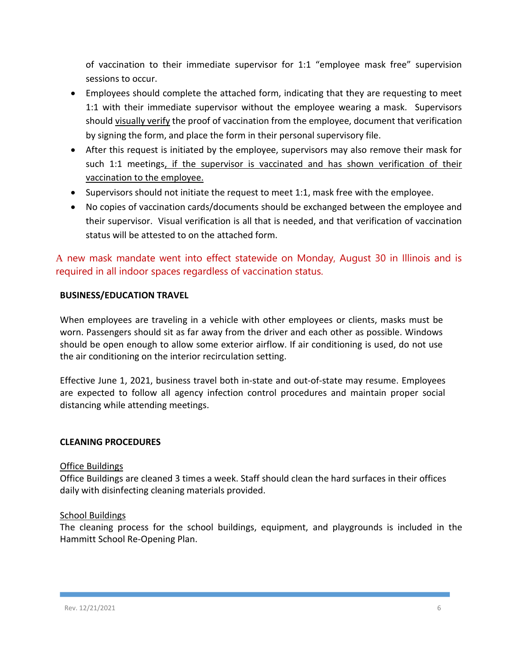of vaccination to their immediate supervisor for 1:1 "employee mask free" supervision sessions to occur.

- Employees should complete the attached form, indicating that they are requesting to meet 1:1 with their immediate supervisor without the employee wearing a mask. Supervisors should visually verify the proof of vaccination from the employee, document that verification by signing the form, and place the form in their personal supervisory file.
- After this request is initiated by the employee, supervisors may also remove their mask for such 1:1 meetings, if the supervisor is vaccinated and has shown verification of their vaccination to the employee.
- Supervisors should not initiate the request to meet 1:1, mask free with the employee.
- No copies of vaccination cards/documents should be exchanged between the employee and their supervisor. Visual verification is all that is needed, and that verification of vaccination status will be attested to on the attached form.

A new mask mandate went into effect statewide on Monday, August 30 in Illinois and is required in all indoor spaces regardless of vaccination status.

## **BUSINESS/EDUCATION TRAVEL**

When employees are traveling in a vehicle with other employees or clients, masks must be worn. Passengers should sit as far away from the driver and each other as possible. Windows should be open enough to allow some exterior airflow. If air conditioning is used, do not use the air conditioning on the interior recirculation setting.

Effective June 1, 2021, business travel both in-state and out-of-state may resume. Employees are expected to follow all agency infection control procedures and maintain proper social distancing while attending meetings.

## **CLEANING PROCEDURES**

#### Office Buildings

Office Buildings are cleaned 3 times a week. Staff should clean the hard surfaces in their offices daily with disinfecting cleaning materials provided.

#### School Buildings

The cleaning process for the school buildings, equipment, and playgrounds is included in the Hammitt School Re-Opening Plan.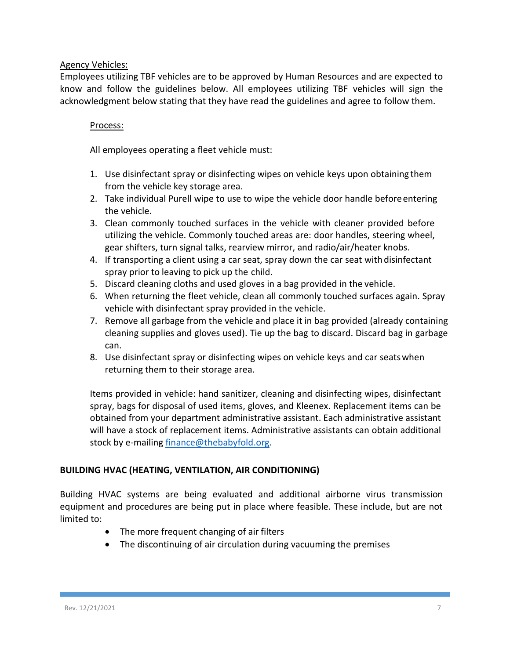#### Agency Vehicles:

Employees utilizing TBF vehicles are to be approved by Human Resources and are expected to know and follow the guidelines below. All employees utilizing TBF vehicles will sign the acknowledgment below stating that they have read the guidelines and agree to follow them.

## Process:

All employees operating a fleet vehicle must:

- 1. Use disinfectant spray or disinfecting wipes on vehicle keys upon obtaining them from the vehicle key storage area.
- 2. Take individual Purell wipe to use to wipe the vehicle door handle beforeentering the vehicle.
- 3. Clean commonly touched surfaces in the vehicle with cleaner provided before utilizing the vehicle. Commonly touched areas are: door handles, steering wheel, gear shifters, turn signal talks, rearview mirror, and radio/air/heater knobs.
- 4. If transporting a client using a car seat, spray down the car seat with disinfectant spray prior to leaving to pick up the child.
- 5. Discard cleaning cloths and used gloves in a bag provided in the vehicle.
- 6. When returning the fleet vehicle, clean all commonly touched surfaces again. Spray vehicle with disinfectant spray provided in the vehicle.
- 7. Remove all garbage from the vehicle and place it in bag provided (already containing cleaning supplies and gloves used). Tie up the bag to discard. Discard bag in garbage can.
- 8. Use disinfectant spray or disinfecting wipes on vehicle keys and car seatswhen returning them to their storage area.

Items provided in vehicle: hand sanitizer, cleaning and disinfecting wipes, disinfectant spray, bags for disposal of used items, gloves, and Kleenex. Replacement items can be obtained from your department administrative assistant. Each administrative assistant will have a stock of replacement items. Administrative assistants can obtain additional stock by e-mailin[g finance@thebabyfold.org.](mailto:finance@thebabyfold.org)

## **BUILDING HVAC (HEATING, VENTILATION, AIR CONDITIONING)**

Building HVAC systems are being evaluated and additional airborne virus transmission equipment and procedures are being put in place where feasible. These include, but are not limited to:

- The more frequent changing of air filters
- The discontinuing of air circulation during vacuuming the premises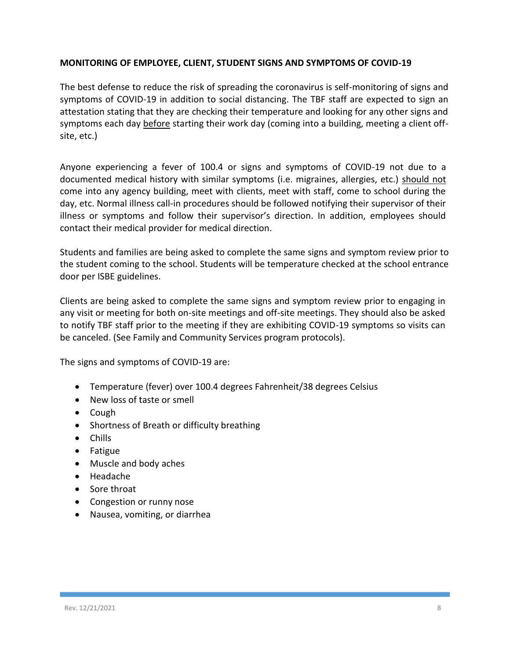#### **MONITORING OF EMPLOYEE, CLIENT, STUDENT SIGNS AND SYMPTOMS OF COVID-19**

The best defense to reduce the risk of spreading the coronavirus is self-monitoring of signs and symptoms of COVID-19 in addition to social distancing. The TBF staff are expected to sign an attestation stating that they are checking their temperature and looking for any other signs and symptoms each day before starting their work day (coming into a building, meeting a client offsite, etc.)

Anyone experiencing a fever of 100.4 or signs and symptoms of COVID-19 not due to a documented medical history with similar symptoms (i.e. migraines, allergies, etc.) should not come into any agency building, meet with clients, meet with staff, come to school during the day, etc. Normal illness call-in procedures should be followed notifying their supervisor of their illness or symptoms and follow their supervisor's direction. In addition, employees should contact their medical provider for medical direction.

Students and families are being asked to complete the same signs and symptom review prior to the student coming to the school. Students will be temperature checked at the school entrance door per ISBE guidelines.

Clients are being asked to complete the same signs and symptom review prior to engaging in any visit or meeting for both on-site meetings and off-site meetings. They should also be asked to notify TBF staff prior to the meeting if they are exhibiting COVID-19 symptoms so visits can be canceled. (See Family and Community Services program protocols).

The signs and symptoms of COVID-19 are:

- Temperature (fever) over 100.4 degrees Fahrenheit/38 degrees Celsius
- New loss of taste or smell
- Cough
- Shortness of Breath or difficulty breathing
- Chills
- Fatigue
- Muscle and body aches
- Headache
- Sore throat
- Congestion or runny nose
- Nausea, vomiting, or diarrhea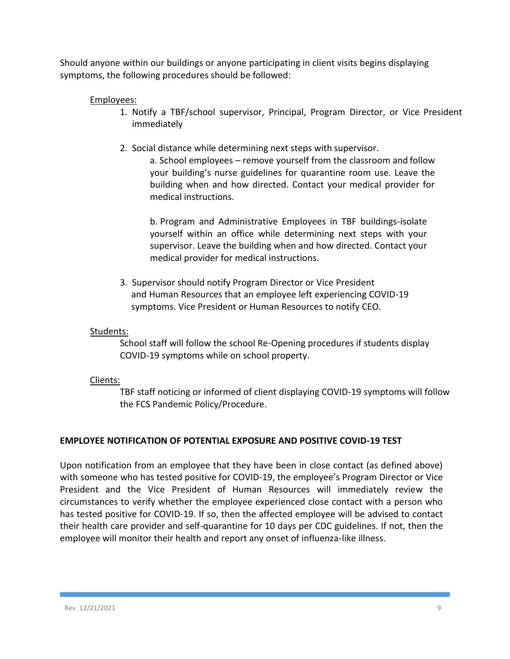Should anyone within our buildings or anyone participating in client visits begins displaying symptoms, the following procedures should be followed:

## Employees:

- 1. Notify a TBF/school supervisor, Principal, Program Director, or Vice President immediately
- 2. Social distance while determining next steps with supervisor.

a. School employees – remove yourself from the classroom and follow your building's nurse guidelines for quarantine room use. Leave the building when and how directed. Contact your medical provider for medical instructions.

b. Program and Administrative Employees in TBF buildings-isolate yourself within an office while determining next steps with your supervisor. Leave the building when and how directed. Contact your medical provider for medical instructions.

3. Supervisor should notify Program Director or Vice President and Human Resources that an employee left experiencing COVID-19 symptoms. Vice President or Human Resources to notify CEO.

#### Students:

School staff will follow the school Re-Opening procedures if students display COVID-19 symptoms while on school property.

## Clients:

TBF staff noticing or informed of client displaying COVID-19 symptoms will follow the FCS Pandemic Policy/Procedure.

## **EMPLOYEE NOTIFICATION OF POTENTIAL EXPOSURE AND POSITIVE COVID-19 TEST**

Upon notification from an employee that they have been in close contact (as defined above) with someone who has tested positive for COVID-19, the employee's Program Director or Vice President and the Vice President of Human Resources will immediately review the circumstances to verify whether the employee experienced close contact with a person who has tested positive for COVID-19. If so, then the affected employee will be advised to contact their health care provider and self-quarantine for 10 days per CDC guidelines. If not, then the employee will monitor their health and report any onset of influenza-like illness.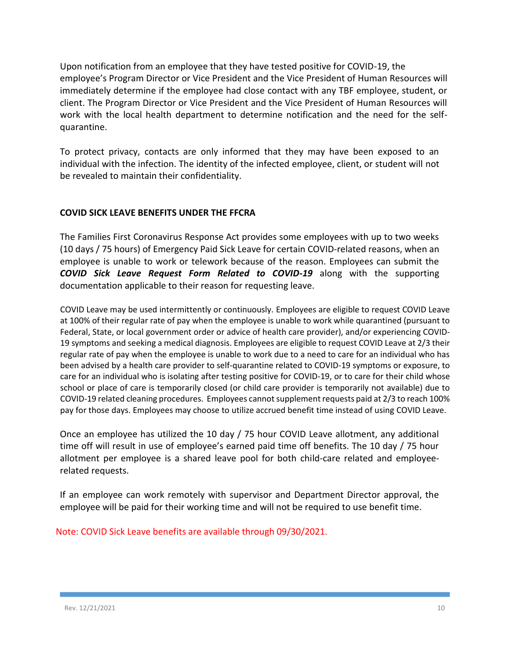Upon notification from an employee that they have tested positive for COVID-19, the employee's Program Director or Vice President and the Vice President of Human Resources will immediately determine if the employee had close contact with any TBF employee, student, or client. The Program Director or Vice President and the Vice President of Human Resources will work with the local health department to determine notification and the need for the selfquarantine.

To protect privacy, contacts are only informed that they may have been exposed to an individual with the infection. The identity of the infected employee, client, or student will not be revealed to maintain their confidentiality.

#### **COVID SICK LEAVE BENEFITS UNDER THE FFCRA**

The Families First Coronavirus Response Act provides some employees with up to two weeks (10 days / 75 hours) of Emergency Paid Sick Leave for certain COVID-related reasons, when an employee is unable to work or telework because of the reason. Employees can submit the *COVID Sick Leave Request Form Related to COVID-19* along with the supporting documentation applicable to their reason for requesting leave.

COVID Leave may be used intermittently or continuously. Employees are eligible to request COVID Leave at 100% of their regular rate of pay when the employee is unable to work while quarantined (pursuant to Federal, State, or local government order or advice of health care provider), and/or experiencing COVID-19 symptoms and seeking a medical diagnosis. Employees are eligible to request COVID Leave at 2/3 their regular rate of pay when the employee is unable to work due to a need to care for an individual who has been advised by a health care provider to self-quarantine related to COVID-19 symptoms or exposure, to care for an individual who is isolating after testing positive for COVID-19, or to care for their child whose school or place of care is temporarily closed (or child care provider is temporarily not available) due to COVID-19 related cleaning procedures. Employees cannot supplement requests paid at 2/3 to reach 100% pay for those days. Employees may choose to utilize accrued benefit time instead of using COVID Leave.

Once an employee has utilized the 10 day / 75 hour COVID Leave allotment, any additional time off will result in use of employee's earned paid time off benefits. The 10 day / 75 hour allotment per employee is a shared leave pool for both child-care related and employeerelated requests.

If an employee can work remotely with supervisor and Department Director approval, the employee will be paid for their working time and will not be required to use benefit time.

Note: COVID Sick Leave benefits are available through 09/30/2021.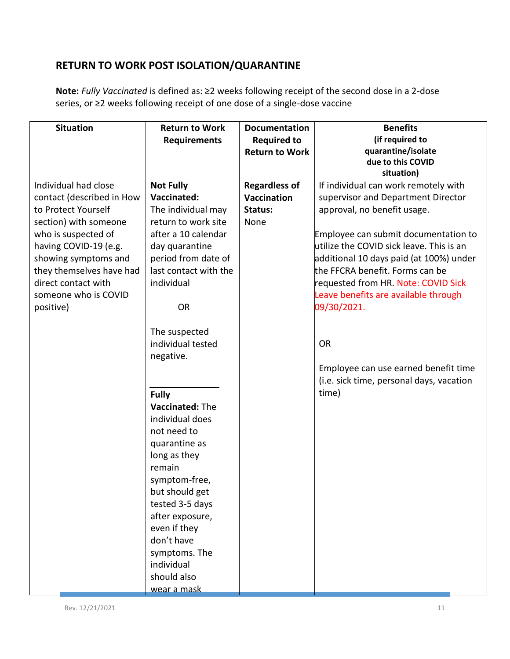# **RETURN TO WORK POST ISOLATION/QUARANTINE**

**Note:** *Fully Vaccinated* is defined as: ≥2 weeks following receipt of the second dose in a 2-dose series, or ≥2 weeks following receipt of one dose of a single-dose vaccine

| <b>Situation</b>          | <b>Return to Work</b> | <b>Documentation</b>  | <b>Benefits</b>                          |
|---------------------------|-----------------------|-----------------------|------------------------------------------|
|                           | <b>Requirements</b>   | <b>Required to</b>    | (if required to                          |
|                           |                       | <b>Return to Work</b> | quarantine/isolate                       |
|                           |                       |                       | due to this COVID                        |
|                           |                       |                       | situation)                               |
| Individual had close      | <b>Not Fully</b>      | <b>Regardless of</b>  | If individual can work remotely with     |
| contact (described in How | Vaccinated:           | Vaccination           | supervisor and Department Director       |
| to Protect Yourself       | The individual may    | Status:               | approval, no benefit usage.              |
| section) with someone     | return to work site   | None                  |                                          |
| who is suspected of       | after a 10 calendar   |                       | Employee can submit documentation to     |
| having COVID-19 (e.g.     | day quarantine        |                       | utilize the COVID sick leave. This is an |
| showing symptoms and      | period from date of   |                       | additional 10 days paid (at 100%) under  |
| they themselves have had  | last contact with the |                       | the FFCRA benefit. Forms can be          |
| direct contact with       | individual            |                       | requested from HR. Note: COVID Sick      |
| someone who is COVID      |                       |                       | Leave benefits are available through     |
| positive)                 | <b>OR</b>             |                       | 09/30/2021.                              |
|                           |                       |                       |                                          |
|                           | The suspected         |                       |                                          |
|                           | individual tested     |                       | <b>OR</b>                                |
|                           | negative.             |                       |                                          |
|                           |                       |                       | Employee can use earned benefit time     |
|                           |                       |                       | (i.e. sick time, personal days, vacation |
|                           | <b>Fully</b>          |                       | time)                                    |
|                           | Vaccinated: The       |                       |                                          |
|                           | individual does       |                       |                                          |
|                           | not need to           |                       |                                          |
|                           | quarantine as         |                       |                                          |
|                           | long as they          |                       |                                          |
|                           | remain                |                       |                                          |
|                           | symptom-free,         |                       |                                          |
|                           | but should get        |                       |                                          |
|                           | tested 3-5 days       |                       |                                          |
|                           | after exposure,       |                       |                                          |
|                           | even if they          |                       |                                          |
|                           | don't have            |                       |                                          |
|                           | symptoms. The         |                       |                                          |
|                           | individual            |                       |                                          |
|                           | should also           |                       |                                          |
|                           | wear a mask           |                       |                                          |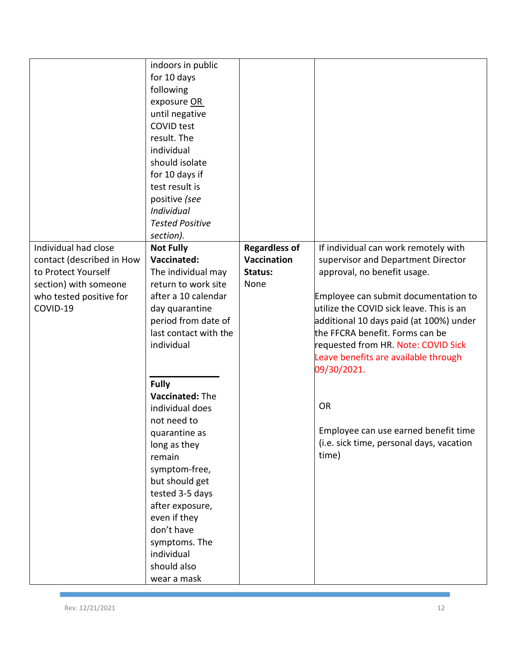|                           | indoors in public<br>for 10 days<br>following<br>exposure OR |                      |                                                                             |
|---------------------------|--------------------------------------------------------------|----------------------|-----------------------------------------------------------------------------|
|                           | until negative<br><b>COVID test</b>                          |                      |                                                                             |
|                           | result. The                                                  |                      |                                                                             |
|                           | individual                                                   |                      |                                                                             |
|                           | should isolate                                               |                      |                                                                             |
|                           | for 10 days if                                               |                      |                                                                             |
|                           | test result is<br>positive (see                              |                      |                                                                             |
|                           | Individual                                                   |                      |                                                                             |
|                           | <b>Tested Positive</b>                                       |                      |                                                                             |
|                           | section).                                                    |                      |                                                                             |
| Individual had close      | <b>Not Fully</b>                                             | <b>Regardless of</b> | If individual can work remotely with                                        |
| contact (described in How | Vaccinated:                                                  | Vaccination          | supervisor and Department Director                                          |
| to Protect Yourself       | The individual may                                           | Status:              | approval, no benefit usage.                                                 |
| section) with someone     | return to work site                                          | None                 |                                                                             |
| who tested positive for   | after a 10 calendar                                          |                      | Employee can submit documentation to                                        |
| COVID-19                  | day quarantine                                               |                      | utilize the COVID sick leave. This is an                                    |
|                           | period from date of                                          |                      | additional 10 days paid (at 100%) under                                     |
|                           | last contact with the<br>individual                          |                      | the FFCRA benefit. Forms can be                                             |
|                           |                                                              |                      | requested from HR. Note: COVID Sick<br>Leave benefits are available through |
|                           |                                                              |                      | 09/30/2021.                                                                 |
|                           | <b>Fully</b>                                                 |                      |                                                                             |
|                           | Vaccinated: The                                              |                      |                                                                             |
|                           | individual does                                              |                      | <b>OR</b>                                                                   |
|                           | not need to                                                  |                      |                                                                             |
|                           | quarantine as                                                |                      | Employee can use earned benefit time                                        |
|                           | long as they                                                 |                      | (i.e. sick time, personal days, vacation                                    |
|                           | remain                                                       |                      | time)                                                                       |
|                           | symptom-free,                                                |                      |                                                                             |
|                           | but should get                                               |                      |                                                                             |
|                           | tested 3-5 days<br>after exposure,                           |                      |                                                                             |
|                           | even if they                                                 |                      |                                                                             |
|                           | don't have                                                   |                      |                                                                             |
|                           | symptoms. The                                                |                      |                                                                             |
|                           | individual                                                   |                      |                                                                             |
|                           | should also                                                  |                      |                                                                             |
|                           | wear a mask                                                  |                      |                                                                             |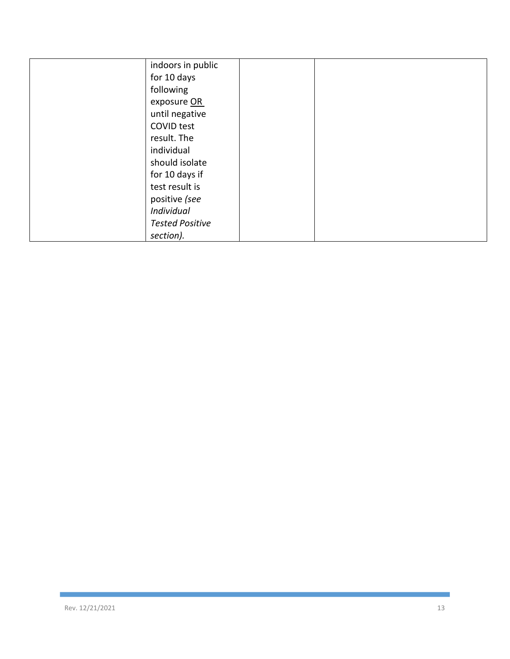| indoors in public      |  |
|------------------------|--|
| for 10 days            |  |
| following              |  |
|                        |  |
| exposure OR            |  |
| until negative         |  |
| COVID test             |  |
| result. The            |  |
| individual             |  |
| should isolate         |  |
| for 10 days if         |  |
| test result is         |  |
| positive (see          |  |
| Individual             |  |
| <b>Tested Positive</b> |  |
| section).              |  |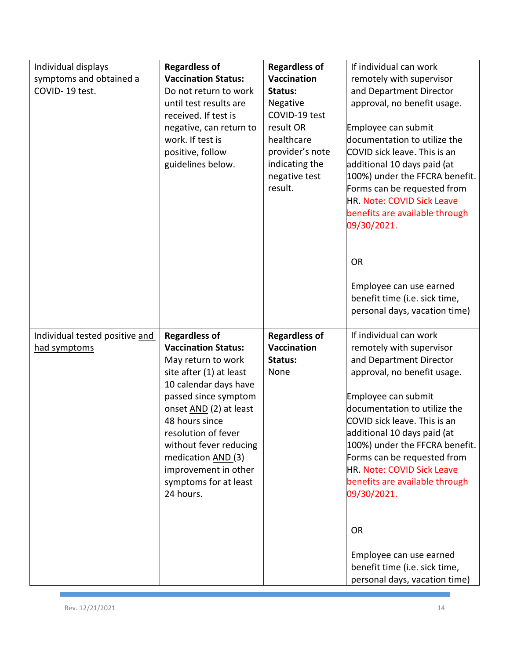| Individual displays<br>symptoms and obtained a<br>COVID-19 test. | <b>Regardless of</b><br><b>Vaccination Status:</b><br>Do not return to work<br>until test results are<br>received. If test is<br>negative, can return to<br>work. If test is<br>positive, follow<br>guidelines below.                                                                                                                 | <b>Regardless of</b><br><b>Vaccination</b><br>Status:<br>Negative<br>COVID-19 test<br>result OR<br>healthcare<br>provider's note<br>indicating the<br>negative test<br>result. | If individual can work<br>remotely with supervisor<br>and Department Director<br>approval, no benefit usage.<br>Employee can submit<br>documentation to utilize the<br>COVID sick leave. This is an<br>additional 10 days paid (at<br>100%) under the FFCRA benefit.<br>Forms can be requested from<br>HR. Note: COVID Sick Leave<br>benefits are available through                |
|------------------------------------------------------------------|---------------------------------------------------------------------------------------------------------------------------------------------------------------------------------------------------------------------------------------------------------------------------------------------------------------------------------------|--------------------------------------------------------------------------------------------------------------------------------------------------------------------------------|------------------------------------------------------------------------------------------------------------------------------------------------------------------------------------------------------------------------------------------------------------------------------------------------------------------------------------------------------------------------------------|
|                                                                  |                                                                                                                                                                                                                                                                                                                                       |                                                                                                                                                                                | 09/30/2021.<br><b>OR</b><br>Employee can use earned<br>benefit time (i.e. sick time,<br>personal days, vacation time)                                                                                                                                                                                                                                                              |
| Individual tested positive and<br>had symptoms                   | <b>Regardless of</b><br><b>Vaccination Status:</b><br>May return to work<br>site after (1) at least<br>10 calendar days have<br>passed since symptom<br>onset AND (2) at least<br>48 hours since<br>resolution of fever<br>without fever reducing<br>medication AND (3)<br>improvement in other<br>symptoms for at least<br>24 hours. | <b>Regardless of</b><br>Vaccination<br>Status:<br>None                                                                                                                         | If individual can work<br>remotely with supervisor<br>and Department Director<br>approval, no benefit usage.<br>Employee can submit<br>documentation to utilize the<br>COVID sick leave. This is an<br>additional 10 days paid (at<br>100%) under the FFCRA benefit.<br>Forms can be requested from<br>HR. Note: COVID Sick Leave<br>benefits are available through<br>09/30/2021. |
|                                                                  |                                                                                                                                                                                                                                                                                                                                       |                                                                                                                                                                                | <b>OR</b><br>Employee can use earned<br>benefit time (i.e. sick time,<br>personal days, vacation time)                                                                                                                                                                                                                                                                             |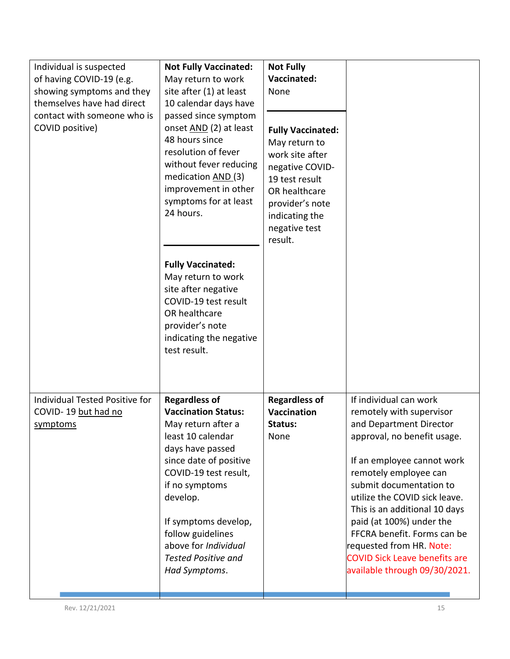| Individual is suspected<br>of having COVID-19 (e.g.<br>showing symptoms and they<br>themselves have had direct<br>contact with someone who is<br>COVID positive) | <b>Not Fully Vaccinated:</b><br>May return to work<br>site after (1) at least<br>10 calendar days have<br>passed since symptom<br>onset AND (2) at least<br>48 hours since<br>resolution of fever<br>without fever reducing<br>medication AND (3)<br>improvement in other<br>symptoms for at least<br>24 hours.<br><b>Fully Vaccinated:</b><br>May return to work<br>site after negative<br>COVID-19 test result<br>OR healthcare<br>provider's note<br>indicating the negative<br>test result. | <b>Not Fully</b><br>Vaccinated:<br>None<br><b>Fully Vaccinated:</b><br>May return to<br>work site after<br>negative COVID-<br>19 test result<br>OR healthcare<br>provider's note<br>indicating the<br>negative test<br>result. |                                                                                                                                                                                                                                                                                                                                                                                                                                  |
|------------------------------------------------------------------------------------------------------------------------------------------------------------------|-------------------------------------------------------------------------------------------------------------------------------------------------------------------------------------------------------------------------------------------------------------------------------------------------------------------------------------------------------------------------------------------------------------------------------------------------------------------------------------------------|--------------------------------------------------------------------------------------------------------------------------------------------------------------------------------------------------------------------------------|----------------------------------------------------------------------------------------------------------------------------------------------------------------------------------------------------------------------------------------------------------------------------------------------------------------------------------------------------------------------------------------------------------------------------------|
| Individual Tested Positive for<br>COVID-19 but had no<br>symptoms                                                                                                | <b>Regardless of</b><br><b>Vaccination Status:</b><br>May return after a<br>least 10 calendar<br>days have passed<br>since date of positive<br>COVID-19 test result,<br>if no symptoms<br>develop.<br>If symptoms develop,<br>follow guidelines<br>above for Individual<br><b>Tested Positive and</b><br>Had Symptoms.                                                                                                                                                                          | <b>Regardless of</b><br>Vaccination<br>Status:<br>None                                                                                                                                                                         | If individual can work<br>remotely with supervisor<br>and Department Director<br>approval, no benefit usage.<br>If an employee cannot work<br>remotely employee can<br>submit documentation to<br>utilize the COVID sick leave.<br>This is an additional 10 days<br>paid (at 100%) under the<br>FFCRA benefit. Forms can be<br>requested from HR. Note:<br><b>COVID Sick Leave benefits are</b><br>available through 09/30/2021. |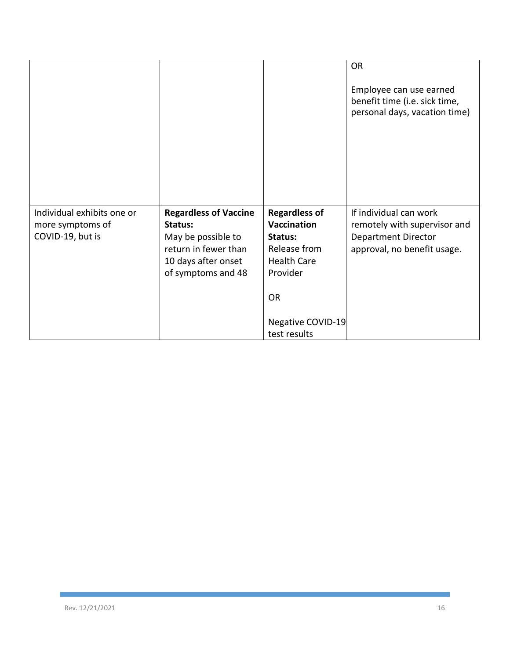|                                                                    |                                                                                                                                    |                                                                                                                                           | <b>OR</b><br>Employee can use earned<br>benefit time (i.e. sick time,<br>personal days, vacation time)              |
|--------------------------------------------------------------------|------------------------------------------------------------------------------------------------------------------------------------|-------------------------------------------------------------------------------------------------------------------------------------------|---------------------------------------------------------------------------------------------------------------------|
| Individual exhibits one or<br>more symptoms of<br>COVID-19, but is | <b>Regardless of Vaccine</b><br>Status:<br>May be possible to<br>return in fewer than<br>10 days after onset<br>of symptoms and 48 | <b>Regardless of</b><br><b>Vaccination</b><br>Status:<br>Release from<br><b>Health Care</b><br>Provider<br><b>OR</b><br>Negative COVID-19 | If individual can work<br>remotely with supervisor and<br><b>Department Director</b><br>approval, no benefit usage. |
|                                                                    |                                                                                                                                    | test results                                                                                                                              |                                                                                                                     |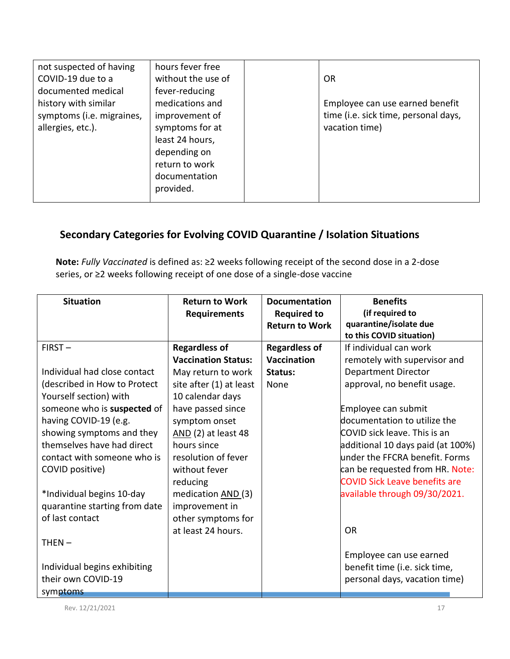| not suspected of having   | hours fever free   |                                      |
|---------------------------|--------------------|--------------------------------------|
| COVID-19 due to a         | without the use of | <b>OR</b>                            |
| documented medical        | fever-reducing     |                                      |
| history with similar      | medications and    | Employee can use earned benefit      |
| symptoms (i.e. migraines, | improvement of     | time (i.e. sick time, personal days, |
| allergies, etc.).         | symptoms for at    | vacation time)                       |
|                           | least 24 hours,    |                                      |
|                           | depending on       |                                      |
|                           | return to work     |                                      |
|                           | documentation      |                                      |
|                           | provided.          |                                      |
|                           |                    |                                      |

# **Secondary Categories for Evolving COVID Quarantine / Isolation Situations**

**Note:** *Fully Vaccinated* is defined as: ≥2 weeks following receipt of the second dose in a 2-dose series, or ≥2 weeks following receipt of one dose of a single-dose vaccine

| <b>Situation</b>              | <b>Return to Work</b>      | <b>Documentation</b>  | <b>Benefits</b>                      |
|-------------------------------|----------------------------|-----------------------|--------------------------------------|
|                               | Requirements               | <b>Required to</b>    | (if required to                      |
|                               |                            | <b>Return to Work</b> | quarantine/isolate due               |
|                               |                            |                       | to this COVID situation)             |
| $FIRST -$                     | <b>Regardless of</b>       | <b>Regardless of</b>  | If individual can work               |
|                               | <b>Vaccination Status:</b> | <b>Vaccination</b>    | remotely with supervisor and         |
| Individual had close contact  | May return to work         | Status:               | <b>Department Director</b>           |
| (described in How to Protect  | site after (1) at least    | None                  | approval, no benefit usage.          |
| Yourself section) with        | 10 calendar days           |                       |                                      |
| someone who is suspected of   | have passed since          |                       | Employee can submit                  |
| having COVID-19 (e.g.         | symptom onset              |                       | documentation to utilize the         |
| showing symptoms and they     | AND (2) at least 48        |                       | COVID sick leave. This is an         |
| themselves have had direct    | hours since                |                       | additional 10 days paid (at 100%)    |
| contact with someone who is   | resolution of fever        |                       | under the FFCRA benefit. Forms       |
| COVID positive)               | without fever              |                       | can be requested from HR. Note:      |
|                               | reducing                   |                       | <b>COVID Sick Leave benefits are</b> |
| *Individual begins 10-day     | medication AND (3)         |                       | available through 09/30/2021.        |
| quarantine starting from date | improvement in             |                       |                                      |
| of last contact               | other symptoms for         |                       |                                      |
|                               | at least 24 hours.         |                       | <b>OR</b>                            |
| $THEN -$                      |                            |                       |                                      |
|                               |                            |                       | Employee can use earned              |
| Individual begins exhibiting  |                            |                       | benefit time (i.e. sick time,        |
| their own COVID-19            |                            |                       | personal days, vacation time)        |
| symptoms                      |                            |                       |                                      |

Rev. 12/21/2021 2021 2021 2022 2023 2024 2022 2023 2024 2022 2023 2024 2022 2023 2024 2022 2024 2022 2023 2024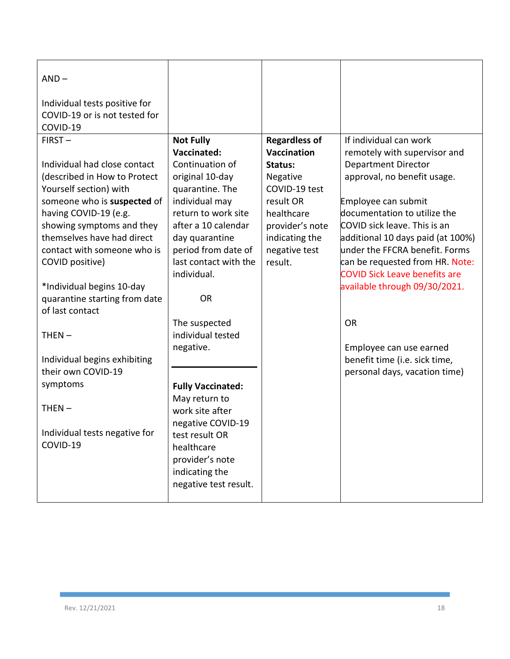| $AND -$<br>Individual tests positive for<br>COVID-19 or is not tested for<br>COVID-19 |                                       |                         |                                                     |
|---------------------------------------------------------------------------------------|---------------------------------------|-------------------------|-----------------------------------------------------|
| $FIRST -$                                                                             | <b>Not Fully</b>                      | <b>Regardless of</b>    | If individual can work                              |
|                                                                                       | Vaccinated:                           | <b>Vaccination</b>      | remotely with supervisor and                        |
| Individual had close contact                                                          | Continuation of                       | Status:                 | <b>Department Director</b>                          |
| (described in How to Protect                                                          | original 10-day                       | Negative                | approval, no benefit usage.                         |
| Yourself section) with                                                                | quarantine. The                       | COVID-19 test           |                                                     |
| someone who is suspected of                                                           | individual may<br>return to work site | result OR<br>healthcare | Employee can submit<br>documentation to utilize the |
| having COVID-19 (e.g.<br>showing symptoms and they                                    | after a 10 calendar                   | provider's note         | COVID sick leave. This is an                        |
| themselves have had direct                                                            | day quarantine                        | indicating the          | additional 10 days paid (at 100%)                   |
| contact with someone who is                                                           | period from date of                   | negative test           | under the FFCRA benefit. Forms                      |
| COVID positive)                                                                       | last contact with the                 | result.                 | can be requested from HR. Note:                     |
|                                                                                       | individual.                           |                         | <b>COVID Sick Leave benefits are</b>                |
| *Individual begins 10-day                                                             |                                       |                         | available through 09/30/2021.                       |
| quarantine starting from date                                                         | <b>OR</b>                             |                         |                                                     |
| of last contact                                                                       |                                       |                         |                                                     |
|                                                                                       | The suspected                         |                         | <b>OR</b>                                           |
| $THEN -$                                                                              | individual tested                     |                         |                                                     |
|                                                                                       | negative.                             |                         | Employee can use earned                             |
| Individual begins exhibiting                                                          |                                       |                         | benefit time (i.e. sick time,                       |
| their own COVID-19                                                                    |                                       |                         | personal days, vacation time)                       |
| symptoms                                                                              | <b>Fully Vaccinated:</b>              |                         |                                                     |
|                                                                                       | May return to                         |                         |                                                     |
| $THEN -$                                                                              | work site after                       |                         |                                                     |
|                                                                                       | negative COVID-19                     |                         |                                                     |
| Individual tests negative for<br>COVID-19                                             | test result OR                        |                         |                                                     |
|                                                                                       | healthcare                            |                         |                                                     |
|                                                                                       | provider's note                       |                         |                                                     |
|                                                                                       | indicating the                        |                         |                                                     |
|                                                                                       | negative test result.                 |                         |                                                     |
|                                                                                       |                                       |                         |                                                     |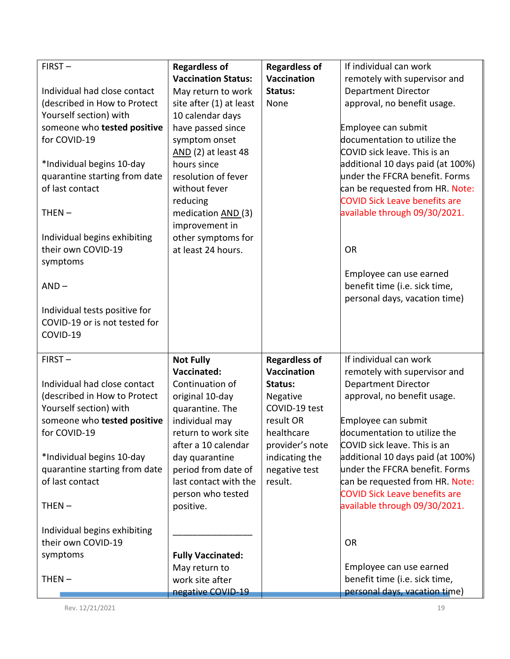| $FIRST -$                                              | <b>Regardless of</b>                  | <b>Regardless of</b>      | If individual can work                                         |
|--------------------------------------------------------|---------------------------------------|---------------------------|----------------------------------------------------------------|
|                                                        | <b>Vaccination Status:</b>            | <b>Vaccination</b>        | remotely with supervisor and                                   |
| Individual had close contact                           | May return to work                    | Status:                   | <b>Department Director</b>                                     |
| (described in How to Protect                           | site after (1) at least               | None                      | approval, no benefit usage.                                    |
| Yourself section) with                                 | 10 calendar days                      |                           |                                                                |
| someone who tested positive                            | have passed since                     |                           | Employee can submit                                            |
| for COVID-19                                           | symptom onset                         |                           | documentation to utilize the                                   |
|                                                        | AND (2) at least 48                   |                           | COVID sick leave. This is an                                   |
| *Individual begins 10-day                              | hours since                           |                           | additional 10 days paid (at 100%)                              |
| quarantine starting from date                          | resolution of fever                   |                           | under the FFCRA benefit. Forms                                 |
| of last contact                                        | without fever                         |                           | can be requested from HR. Note:                                |
|                                                        | reducing                              |                           | <b>COVID Sick Leave benefits are</b>                           |
| $THEN -$                                               | medication AND (3)                    |                           | available through 09/30/2021.                                  |
|                                                        | improvement in                        |                           |                                                                |
| Individual begins exhibiting                           | other symptoms for                    |                           |                                                                |
| their own COVID-19                                     | at least 24 hours.                    |                           | <b>OR</b>                                                      |
| symptoms                                               |                                       |                           |                                                                |
|                                                        |                                       |                           | Employee can use earned                                        |
| $AND -$                                                |                                       |                           | benefit time (i.e. sick time,                                  |
|                                                        |                                       |                           | personal days, vacation time)                                  |
| Individual tests positive for                          |                                       |                           |                                                                |
| COVID-19 or is not tested for                          |                                       |                           |                                                                |
| COVID-19                                               |                                       |                           |                                                                |
| $FIRST -$                                              | <b>Not Fully</b>                      | <b>Regardless of</b>      | If individual can work                                         |
|                                                        | Vaccinated:                           | Vaccination               | remotely with supervisor and                                   |
|                                                        |                                       |                           |                                                                |
| Individual had close contact                           |                                       | Status:                   |                                                                |
|                                                        | Continuation of                       |                           | <b>Department Director</b>                                     |
| (described in How to Protect<br>Yourself section) with | original 10-day                       | Negative<br>COVID-19 test | approval, no benefit usage.                                    |
| someone who tested positive                            | quarantine. The                       | result OR                 |                                                                |
| for COVID-19                                           | individual may<br>return to work site | healthcare                | Employee can submit<br>documentation to utilize the            |
|                                                        | after a 10 calendar                   | provider's note           | COVID sick leave. This is an                                   |
| *Individual begins 10-day                              | day quarantine                        | indicating the            | additional 10 days paid (at 100%)                              |
| quarantine starting from date                          | period from date of                   | negative test             | under the FFCRA benefit. Forms                                 |
| of last contact                                        | last contact with the                 | result.                   | can be requested from HR. Note:                                |
|                                                        | person who tested                     |                           | <b>COVID Sick Leave benefits are</b>                           |
| $THEN -$                                               | positive.                             |                           | available through 09/30/2021.                                  |
|                                                        |                                       |                           |                                                                |
| Individual begins exhibiting                           |                                       |                           |                                                                |
| their own COVID-19                                     |                                       |                           | <b>OR</b>                                                      |
| symptoms                                               | <b>Fully Vaccinated:</b>              |                           |                                                                |
|                                                        | May return to                         |                           | Employee can use earned                                        |
| $THEN -$                                               | work site after<br>negative COVID-19  |                           | benefit time (i.e. sick time,<br>personal days, vacation time) |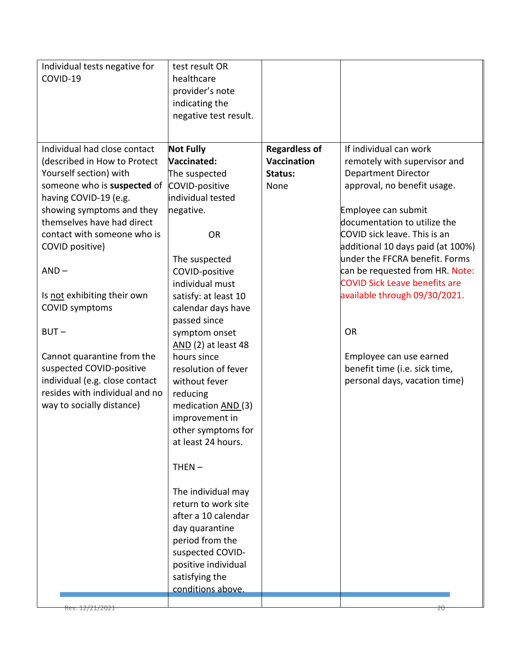| Individual tests negative for<br>COVID-19                                                                                                                                                                                                                                                                                                                                                                                                                                                            | test result OR<br>healthcare<br>provider's note<br>indicating the<br>negative test result.                                                                                                                                                                                                                                                                                                                                                                                                                                                                                                                                                  |                                                               |                                                                                                                                                                                                                                                                                                                                                                                                                                                                                                  |
|------------------------------------------------------------------------------------------------------------------------------------------------------------------------------------------------------------------------------------------------------------------------------------------------------------------------------------------------------------------------------------------------------------------------------------------------------------------------------------------------------|---------------------------------------------------------------------------------------------------------------------------------------------------------------------------------------------------------------------------------------------------------------------------------------------------------------------------------------------------------------------------------------------------------------------------------------------------------------------------------------------------------------------------------------------------------------------------------------------------------------------------------------------|---------------------------------------------------------------|--------------------------------------------------------------------------------------------------------------------------------------------------------------------------------------------------------------------------------------------------------------------------------------------------------------------------------------------------------------------------------------------------------------------------------------------------------------------------------------------------|
| Individual had close contact<br>(described in How to Protect<br>Yourself section) with<br>someone who is suspected of<br>having COVID-19 (e.g.<br>showing symptoms and they<br>themselves have had direct<br>contact with someone who is<br>COVID positive)<br>$AND -$<br>Is not exhibiting their own<br><b>COVID symptoms</b><br>$BUT -$<br>Cannot quarantine from the<br>suspected COVID-positive<br>individual (e.g. close contact<br>resides with individual and no<br>way to socially distance) | <b>Not Fully</b><br>Vaccinated:<br>The suspected<br>COVID-positive<br>individual tested<br>negative.<br><b>OR</b><br>The suspected<br>COVID-positive<br>individual must<br>satisfy: at least 10<br>calendar days have<br>passed since<br>symptom onset<br>AND (2) at least 48<br>hours since<br>resolution of fever<br>without fever<br>reducing<br>medication AND (3)<br>improvement in<br>other symptoms for<br>at least 24 hours.<br>$THEN -$<br>The individual may<br>return to work site<br>after a 10 calendar<br>day quarantine<br>period from the<br>suspected COVID-<br>positive individual<br>satisfying the<br>conditions above. | <b>Regardless of</b><br><b>Vaccination</b><br>Status:<br>None | If individual can work<br>remotely with supervisor and<br><b>Department Director</b><br>approval, no benefit usage.<br>Employee can submit<br>documentation to utilize the<br>COVID sick leave. This is an<br>additional 10 days paid (at 100%)<br>under the FFCRA benefit. Forms<br>can be requested from HR. Note:<br><b>COVID Sick Leave benefits are</b><br>available through 09/30/2021.<br>OR<br>Employee can use earned<br>benefit time (i.e. sick time,<br>personal days, vacation time) |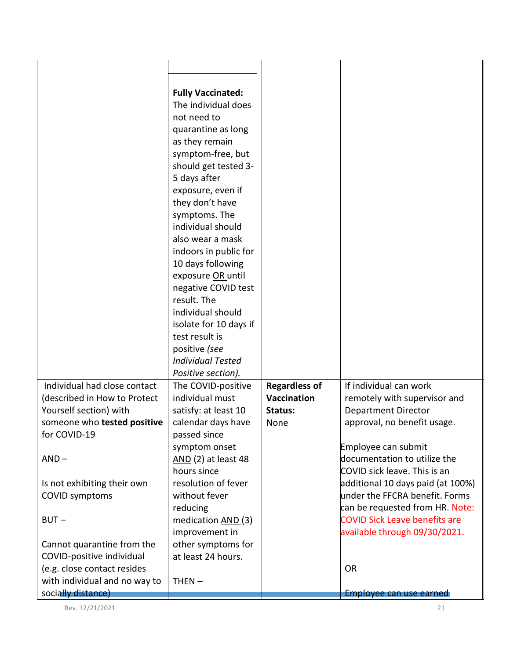|                                                     | <b>Fully Vaccinated:</b> |                      |                                      |
|-----------------------------------------------------|--------------------------|----------------------|--------------------------------------|
|                                                     | The individual does      |                      |                                      |
|                                                     | not need to              |                      |                                      |
|                                                     | quarantine as long       |                      |                                      |
|                                                     | as they remain           |                      |                                      |
|                                                     | symptom-free, but        |                      |                                      |
|                                                     | should get tested 3-     |                      |                                      |
|                                                     | 5 days after             |                      |                                      |
|                                                     | exposure, even if        |                      |                                      |
|                                                     |                          |                      |                                      |
|                                                     | they don't have          |                      |                                      |
|                                                     | symptoms. The            |                      |                                      |
|                                                     | individual should        |                      |                                      |
|                                                     | also wear a mask         |                      |                                      |
|                                                     | indoors in public for    |                      |                                      |
|                                                     | 10 days following        |                      |                                      |
|                                                     | exposure OR until        |                      |                                      |
|                                                     | negative COVID test      |                      |                                      |
|                                                     | result. The              |                      |                                      |
|                                                     | individual should        |                      |                                      |
|                                                     | isolate for 10 days if   |                      |                                      |
|                                                     | test result is           |                      |                                      |
|                                                     | positive (see            |                      |                                      |
|                                                     | <b>Individual Tested</b> |                      |                                      |
|                                                     | Positive section).       |                      |                                      |
| Individual had close contact                        | The COVID-positive       | <b>Regardless of</b> | If individual can work               |
| (described in How to Protect                        | individual must          | <b>Vaccination</b>   | remotely with supervisor and         |
|                                                     | satisfy: at least 10     | Status:              |                                      |
| Yourself section) with                              |                          |                      | <b>Department Director</b>           |
| someone who tested positive                         | calendar days have       | None                 | approval, no benefit usage.          |
| for COVID-19                                        | passed since             |                      |                                      |
|                                                     | symptom onset            |                      | Employee can submit                  |
| $AND -$                                             | AND (2) at least 48      |                      | documentation to utilize the         |
|                                                     | hours since              |                      | COVID sick leave. This is an         |
| Is not exhibiting their own                         | resolution of fever      |                      | additional 10 days paid (at 100%)    |
| <b>COVID symptoms</b>                               | without fever            |                      | under the FFCRA benefit. Forms       |
|                                                     | reducing                 |                      | can be requested from HR. Note:      |
| $BUT -$                                             | medication AND (3)       |                      | <b>COVID Sick Leave benefits are</b> |
|                                                     | improvement in           |                      | available through 09/30/2021.        |
| Cannot quarantine from the                          | other symptoms for       |                      |                                      |
| COVID-positive individual                           | at least 24 hours.       |                      |                                      |
| (e.g. close contact resides                         |                          |                      | <b>OR</b>                            |
|                                                     | $THEN -$                 |                      |                                      |
|                                                     |                          |                      |                                      |
| with individual and no way to<br>socially distance) |                          |                      | Employee can use earned              |

Rev. 12/21/2021 21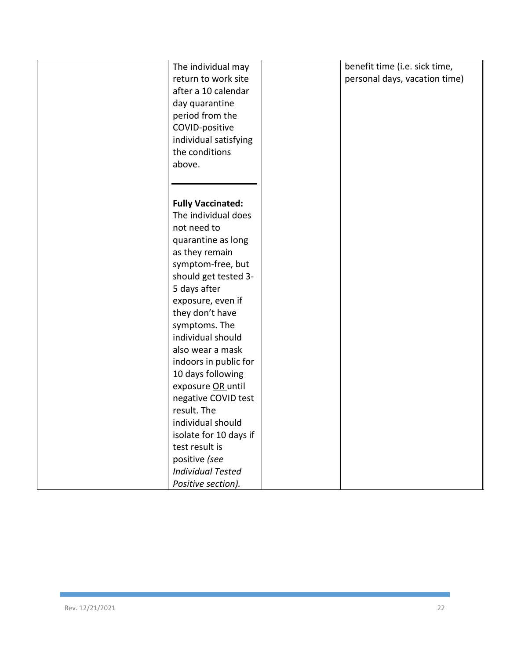| The individual may<br>return to work site | benefit time (i.e. sick time,<br>personal days, vacation time) |
|-------------------------------------------|----------------------------------------------------------------|
| after a 10 calendar                       |                                                                |
| day quarantine                            |                                                                |
| period from the                           |                                                                |
| COVID-positive                            |                                                                |
| individual satisfying                     |                                                                |
| the conditions                            |                                                                |
| above.                                    |                                                                |
|                                           |                                                                |
| <b>Fully Vaccinated:</b>                  |                                                                |
| The individual does                       |                                                                |
| not need to                               |                                                                |
| quarantine as long                        |                                                                |
| as they remain                            |                                                                |
| symptom-free, but                         |                                                                |
| should get tested 3-                      |                                                                |
| 5 days after                              |                                                                |
| exposure, even if                         |                                                                |
| they don't have                           |                                                                |
| symptoms. The                             |                                                                |
| individual should                         |                                                                |
| also wear a mask                          |                                                                |
| indoors in public for                     |                                                                |
| 10 days following                         |                                                                |
| exposure OR until                         |                                                                |
| negative COVID test                       |                                                                |
| result. The                               |                                                                |
| individual should                         |                                                                |
| isolate for 10 days if                    |                                                                |
| test result is                            |                                                                |
| positive (see                             |                                                                |
| <b>Individual Tested</b>                  |                                                                |
| Positive section).                        |                                                                |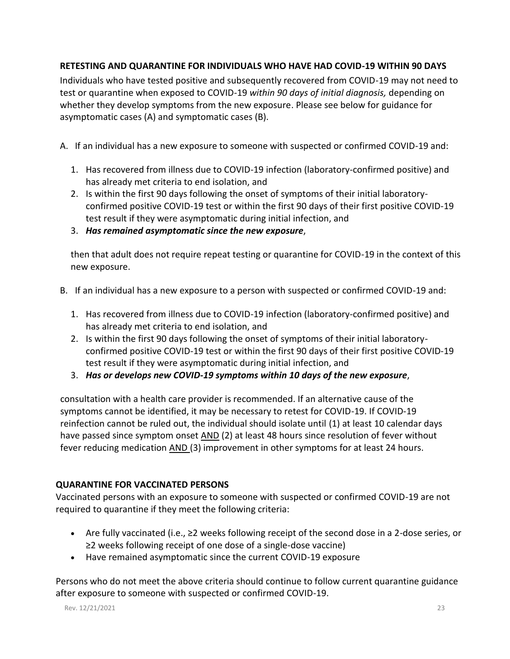## **RETESTING AND QUARANTINE FOR INDIVIDUALS WHO HAVE HAD COVID-19 WITHIN 90 DAYS**

Individuals who have tested positive and subsequently recovered from COVID-19 may not need to test or quarantine when exposed to COVID-19 *within 90 days of initial diagnosis,* depending on whether they develop symptoms from the new exposure. Please see below for guidance for asymptomatic cases (A) and symptomatic cases (B).

A. If an individual has a new exposure to someone with suspected or confirmed COVID-19 and:

- 1. Has recovered from illness due to COVID-19 infection (laboratory-confirmed positive) and has already met criteria to end isolation, and
- 2. Is within the first 90 days following the onset of symptoms of their initial laboratoryconfirmed positive COVID-19 test or within the first 90 days of their first positive COVID-19 test result if they were asymptomatic during initial infection, and
- 3. *Has remained asymptomatic since the new exposure*,

then that adult does not require repeat testing or quarantine for COVID-19 in the context of this new exposure.

- B. If an individual has a new exposure to a person with suspected or confirmed COVID-19 and:
	- 1. Has recovered from illness due to COVID-19 infection (laboratory-confirmed positive) and has already met criteria to end isolation, and
	- 2. Is within the first 90 days following the onset of symptoms of their initial laboratoryconfirmed positive COVID-19 test or within the first 90 days of their first positive COVID-19 test result if they were asymptomatic during initial infection, and
	- 3. *Has or develops new COVID-19 symptoms within 10 days of the new exposure*,

consultation with a health care provider is recommended. If an alternative cause of the symptoms cannot be identified, it may be necessary to retest for COVID-19. If COVID-19 reinfection cannot be ruled out, the individual should isolate until (1) at least 10 calendar days have passed since symptom onset AND (2) at least 48 hours since resolution of fever without fever reducing medication AND (3) improvement in other symptoms for at least 24 hours.

# **QUARANTINE FOR VACCINATED PERSONS**

Vaccinated persons with an exposure to someone with suspected or confirmed COVID-19 are not required to quarantine if they meet the following criteria:

- Are fully vaccinated (i.e., ≥2 weeks following receipt of the second dose in a 2-dose series, or ≥2 weeks following receipt of one dose of a single-dose vaccine)
- Have remained asymptomatic since the current COVID-19 exposure

Persons who do not meet the above criteria should continue to follow current quarantine guidance after exposure to someone with suspected or confirmed COVID-19.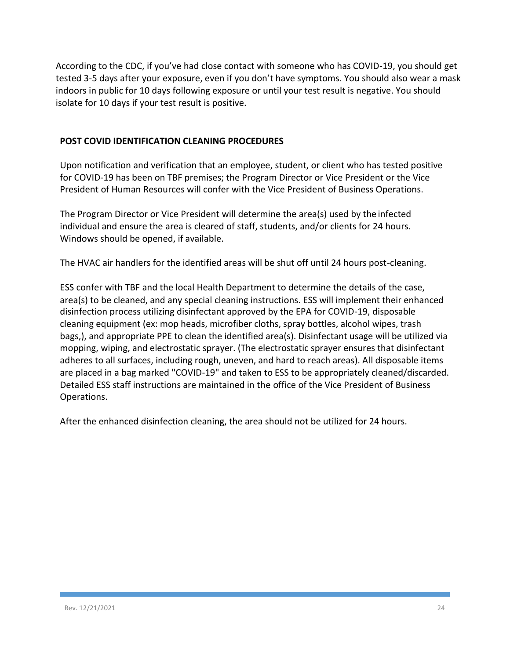According to the CDC, if you've had close contact with someone who has COVID-19, you should get tested 3-5 days after your exposure, even if you don't have symptoms. You should also wear a mask indoors in public for 10 days following exposure or until your test result is negative. You should isolate for 10 days if your test result is positive.

## **POST COVID IDENTIFICATION CLEANING PROCEDURES**

Upon notification and verification that an employee, student, or client who has tested positive for COVID-19 has been on TBF premises; the Program Director or Vice President or the Vice President of Human Resources will confer with the Vice President of Business Operations.

The Program Director or Vice President will determine the area(s) used by the infected individual and ensure the area is cleared of staff, students, and/or clients for 24 hours. Windows should be opened, if available.

The HVAC air handlers for the identified areas will be shut off until 24 hours post-cleaning.

ESS confer with TBF and the local Health Department to determine the details of the case, area(s) to be cleaned, and any special cleaning instructions. ESS will implement their enhanced disinfection process utilizing disinfectant approved by the EPA for COVID-19, disposable cleaning equipment (ex: mop heads, microfiber cloths, spray bottles, alcohol wipes, trash bags,), and appropriate PPE to clean the identified area(s). Disinfectant usage will be utilized via mopping, wiping, and electrostatic sprayer. (The electrostatic sprayer ensures that disinfectant adheres to all surfaces, including rough, uneven, and hard to reach areas). All disposable items are placed in a bag marked "COVID-19" and taken to ESS to be appropriately cleaned/discarded. Detailed ESS staff instructions are maintained in the office of the Vice President of Business Operations.

After the enhanced disinfection cleaning, the area should not be utilized for 24 hours.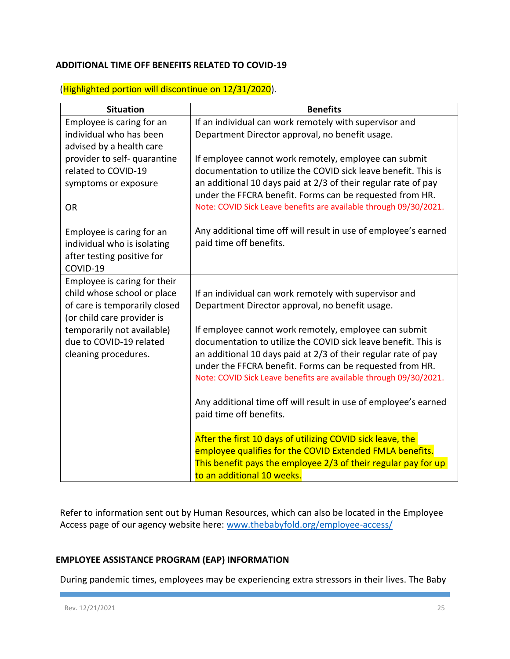#### **ADDITIONAL TIME OFF BENEFITS RELATED TO COVID-19**

## (Highlighted portion will discontinue on 12/31/2020).

| <b>Benefits</b>                                                                                                               |  |  |
|-------------------------------------------------------------------------------------------------------------------------------|--|--|
| If an individual can work remotely with supervisor and                                                                        |  |  |
| Department Director approval, no benefit usage.                                                                               |  |  |
|                                                                                                                               |  |  |
| If employee cannot work remotely, employee can submit                                                                         |  |  |
| documentation to utilize the COVID sick leave benefit. This is                                                                |  |  |
| an additional 10 days paid at 2/3 of their regular rate of pay<br>under the FFCRA benefit. Forms can be requested from HR.    |  |  |
| Note: COVID Sick Leave benefits are available through 09/30/2021.                                                             |  |  |
| Any additional time off will result in use of employee's earned<br>paid time off benefits.                                    |  |  |
|                                                                                                                               |  |  |
| If an individual can work remotely with supervisor and                                                                        |  |  |
| Department Director approval, no benefit usage.                                                                               |  |  |
|                                                                                                                               |  |  |
| If employee cannot work remotely, employee can submit                                                                         |  |  |
| documentation to utilize the COVID sick leave benefit. This is                                                                |  |  |
| an additional 10 days paid at 2/3 of their regular rate of pay                                                                |  |  |
| under the FFCRA benefit. Forms can be requested from HR.<br>Note: COVID Sick Leave benefits are available through 09/30/2021. |  |  |
|                                                                                                                               |  |  |
| Any additional time off will result in use of employee's earned                                                               |  |  |
| paid time off benefits.                                                                                                       |  |  |
| After the first 10 days of utilizing COVID sick leave, the                                                                    |  |  |
| employee qualifies for the COVID Extended FMLA benefits.                                                                      |  |  |
| This benefit pays the employee 2/3 of their regular pay for up                                                                |  |  |
| to an additional 10 weeks.                                                                                                    |  |  |
|                                                                                                                               |  |  |

Refer to information sent out by Human Resources, which can also be located in the Employee Access page of our agency website here: [www.thebabyfold.org/employee-access/](http://www.thebabyfold.org/employee-access/)

# **EMPLOYEE ASSISTANCE PROGRAM (EAP) INFORMATION**

During pandemic times, employees may be experiencing extra stressors in their lives. The Baby